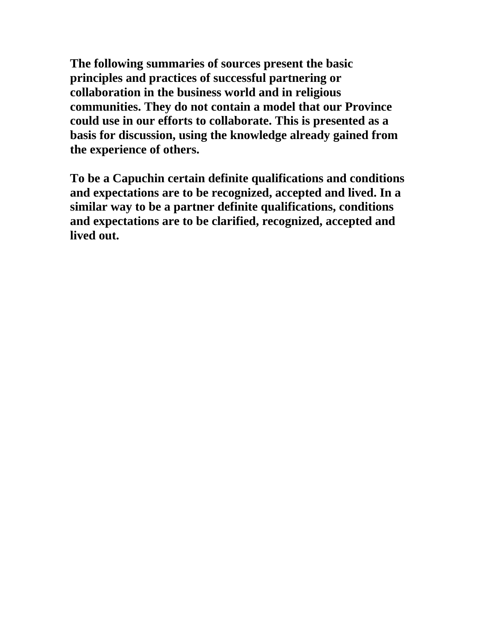**The following summaries of sources present the basic principles and practices of successful partnering or collaboration in the business world and in religious communities. They do not contain a model that our Province could use in our efforts to collaborate. This is presented as a basis for discussion, using the knowledge already gained from the experience of others.** 

**To be a Capuchin certain definite qualifications and conditions and expectations are to be recognized, accepted and lived. In a similar way to be a partner definite qualifications, conditions and expectations are to be clarified, recognized, accepted and lived out.**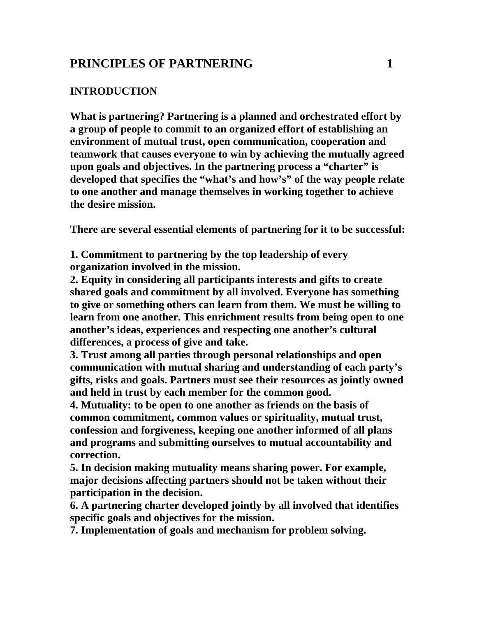# **PRINCIPLES OF PARTNERING 1**

### **INTRODUCTION**

**What is partnering? Partnering is a planned and orchestrated effort by a group of people to commit to an organized effort of establishing an environment of mutual trust, open communication, cooperation and teamwork that causes everyone to win by achieving the mutually agreed upon goals and objectives. In the partnering process a "charter" is developed that specifies the "what's and how's" of the way people relate to one another and manage themselves in working together to achieve the desire mission.** 

**There are several essential elements of partnering for it to be successful:** 

**1. Commitment to partnering by the top leadership of every organization involved in the mission.** 

**2. Equity in considering all participants interests and gifts to create shared goals and commitment by all involved. Everyone has something to give or something others can learn from them. We must be willing to learn from one another. This enrichment results from being open to one another's ideas, experiences and respecting one another's cultural differences, a process of give and take.** 

**3. Trust among all parties through personal relationships and open communication with mutual sharing and understanding of each party's gifts, risks and goals. Partners must see their resources as jointly owned and held in trust by each member for the common good.** 

**4. Mutuality: to be open to one another as friends on the basis of common commitment, common values or spirituality, mutual trust, confession and forgiveness, keeping one another informed of all plans and programs and submitting ourselves to mutual accountability and correction.** 

**5. In decision making mutuality means sharing power. For example, major decisions affecting partners should not be taken without their participation in the decision.** 

**6. A partnering charter developed jointly by all involved that identifies specific goals and objectives for the mission.** 

**7. Implementation of goals and mechanism for problem solving.**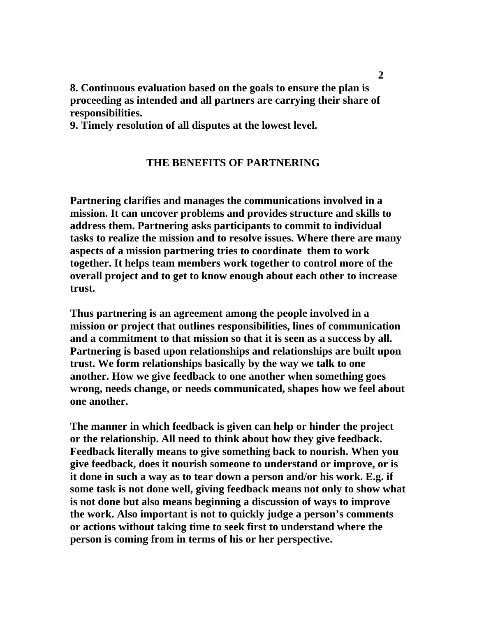**8. Continuous evaluation based on the goals to ensure the plan is proceeding as intended and all partners are carrying their share of responsibilities.** 

**9. Timely resolution of all disputes at the lowest level.** 

### **THE BENEFITS OF PARTNERING**

**Partnering clarifies and manages the communications involved in a mission. It can uncover problems and provides structure and skills to address them. Partnering asks participants to commit to individual tasks to realize the mission and to resolve issues. Where there are many aspects of a mission partnering tries to coordinate them to work together. It helps team members work together to control more of the overall project and to get to know enough about each other to increase trust.** 

**Thus partnering is an agreement among the people involved in a mission or project that outlines responsibilities, lines of communication and a commitment to that mission so that it is seen as a success by all. Partnering is based upon relationships and relationships are built upon trust. We form relationships basically by the way we talk to one another. How we give feedback to one another when something goes wrong, needs change, or needs communicated, shapes how we feel about one another.** 

**The manner in which feedback is given can help or hinder the project or the relationship. All need to think about how they give feedback. Feedback literally means to give something back to nourish. When you give feedback, does it nourish someone to understand or improve, or is it done in such a way as to tear down a person and/or his work. E.g. if some task is not done well, giving feedback means not only to show what is not done but also means beginning a discussion of ways to improve the work. Also important is not to quickly judge a person's comments or actions without taking time to seek first to understand where the person is coming from in terms of his or her perspective.**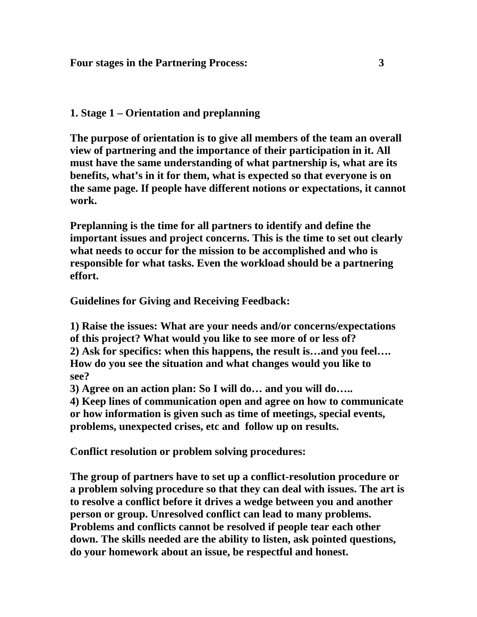# **1. Stage 1 – Orientation and preplanning**

**The purpose of orientation is to give all members of the team an overall view of partnering and the importance of their participation in it. All must have the same understanding of what partnership is, what are its benefits, what's in it for them, what is expected so that everyone is on the same page. If people have different notions or expectations, it cannot work.** 

**Preplanning is the time for all partners to identify and define the important issues and project concerns. This is the time to set out clearly what needs to occur for the mission to be accomplished and who is responsible for what tasks. Even the workload should be a partnering effort.** 

**Guidelines for Giving and Receiving Feedback:** 

**1) Raise the issues: What are your needs and/or concerns/expectations of this project? What would you like to see more of or less of? 2) Ask for specifics: when this happens, the result is…and you feel…. How do you see the situation and what changes would you like to see?** 

**3) Agree on an action plan: So I will do… and you will do…..** 

**4) Keep lines of communication open and agree on how to communicate or how information is given such as time of meetings, special events, problems, unexpected crises, etc and follow up on results.** 

**Conflict resolution or problem solving procedures:** 

**The group of partners have to set up a conflict-resolution procedure or a problem solving procedure so that they can deal with issues. The art is to resolve a conflict before it drives a wedge between you and another person or group. Unresolved conflict can lead to many problems. Problems and conflicts cannot be resolved if people tear each other down. The skills needed are the ability to listen, ask pointed questions, do your homework about an issue, be respectful and honest.**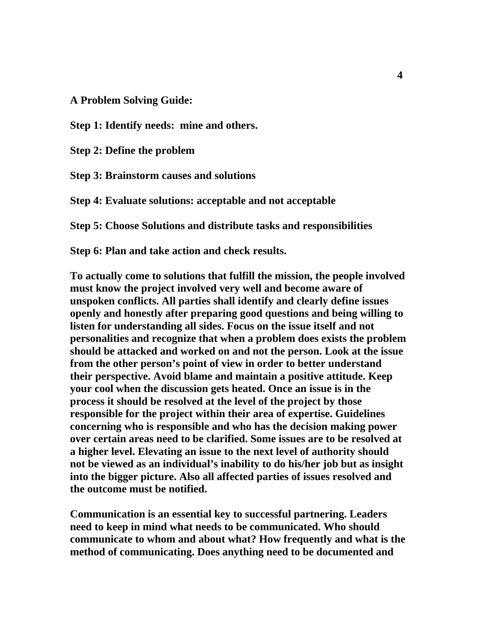**A Problem Solving Guide:** 

**Step 1: Identify needs: mine and others.** 

**Step 2: Define the problem** 

**Step 3: Brainstorm causes and solutions** 

**Step 4: Evaluate solutions: acceptable and not acceptable** 

**Step 5: Choose Solutions and distribute tasks and responsibilities** 

**Step 6: Plan and take action and check results.** 

**To actually come to solutions that fulfill the mission, the people involved must know the project involved very well and become aware of unspoken conflicts. All parties shall identify and clearly define issues openly and honestly after preparing good questions and being willing to listen for understanding all sides. Focus on the issue itself and not personalities and recognize that when a problem does exists the problem should be attacked and worked on and not the person. Look at the issue from the other person's point of view in order to better understand their perspective. Avoid blame and maintain a positive attitude. Keep your cool when the discussion gets heated. Once an issue is in the process it should be resolved at the level of the project by those responsible for the project within their area of expertise. Guidelines concerning who is responsible and who has the decision making power over certain areas need to be clarified. Some issues are to be resolved at a higher level. Elevating an issue to the next level of authority should not be viewed as an individual's inability to do his/her job but as insight into the bigger picture. Also all affected parties of issues resolved and the outcome must be notified.** 

**Communication is an essential key to successful partnering. Leaders need to keep in mind what needs to be communicated. Who should communicate to whom and about what? How frequently and what is the method of communicating. Does anything need to be documented and**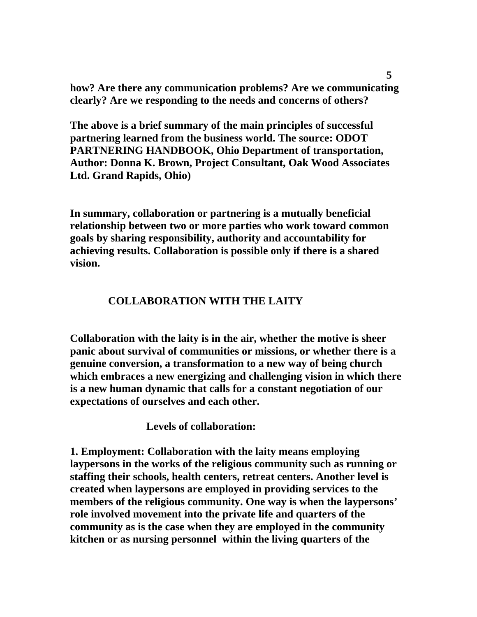**how? Are there any communication problems? Are we communicating clearly? Are we responding to the needs and concerns of others?** 

**The above is a brief summary of the main principles of successful partnering learned from the business world. The source: ODOT PARTNERING HANDBOOK, Ohio Department of transportation, Author: Donna K. Brown, Project Consultant, Oak Wood Associates Ltd. Grand Rapids, Ohio)** 

**In summary, collaboration or partnering is a mutually beneficial relationship between two or more parties who work toward common goals by sharing responsibility, authority and accountability for achieving results. Collaboration is possible only if there is a shared vision.** 

## **COLLABORATION WITH THE LAITY**

**Collaboration with the laity is in the air, whether the motive is sheer panic about survival of communities or missions, or whether there is a genuine conversion, a transformation to a new way of being church which embraces a new energizing and challenging vision in which there is a new human dynamic that calls for a constant negotiation of our expectations of ourselves and each other.** 

 **Levels of collaboration:** 

**1. Employment: Collaboration with the laity means employing laypersons in the works of the religious community such as running or staffing their schools, health centers, retreat centers. Another level is created when laypersons are employed in providing services to the members of the religious community. One way is when the laypersons' role involved movement into the private life and quarters of the community as is the case when they are employed in the community kitchen or as nursing personnel within the living quarters of the**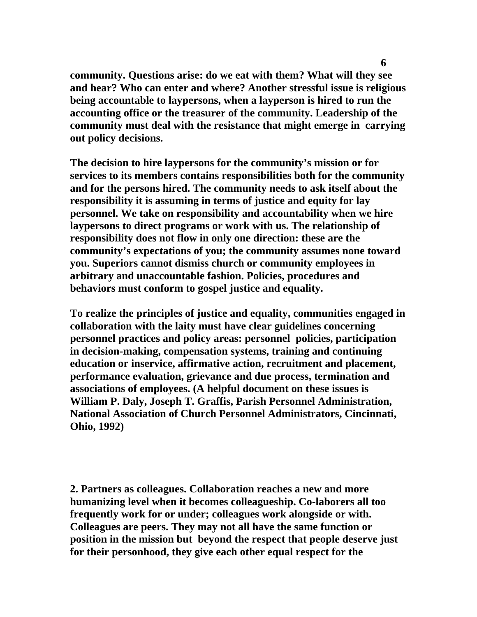**community. Questions arise: do we eat with them? What will they see and hear? Who can enter and where? Another stressful issue is religious being accountable to laypersons, when a layperson is hired to run the accounting office or the treasurer of the community. Leadership of the community must deal with the resistance that might emerge in carrying out policy decisions.** 

**The decision to hire laypersons for the community's mission or for services to its members contains responsibilities both for the community and for the persons hired. The community needs to ask itself about the responsibility it is assuming in terms of justice and equity for lay personnel. We take on responsibility and accountability when we hire laypersons to direct programs or work with us. The relationship of responsibility does not flow in only one direction: these are the community's expectations of you; the community assumes none toward you. Superiors cannot dismiss church or community employees in arbitrary and unaccountable fashion. Policies, procedures and behaviors must conform to gospel justice and equality.** 

**To realize the principles of justice and equality, communities engaged in collaboration with the laity must have clear guidelines concerning personnel practices and policy areas: personnel policies, participation in decision-making, compensation systems, training and continuing education or inservice, affirmative action, recruitment and placement, performance evaluation, grievance and due process, termination and associations of employees. (A helpful document on these issues is William P. Daly, Joseph T. Graffis, Parish Personnel Administration, National Association of Church Personnel Administrators, Cincinnati, Ohio, 1992)** 

**2. Partners as colleagues. Collaboration reaches a new and more humanizing level when it becomes colleagueship. Co-laborers all too frequently work for or under; colleagues work alongside or with. Colleagues are peers. They may not all have the same function or position in the mission but beyond the respect that people deserve just for their personhood, they give each other equal respect for the**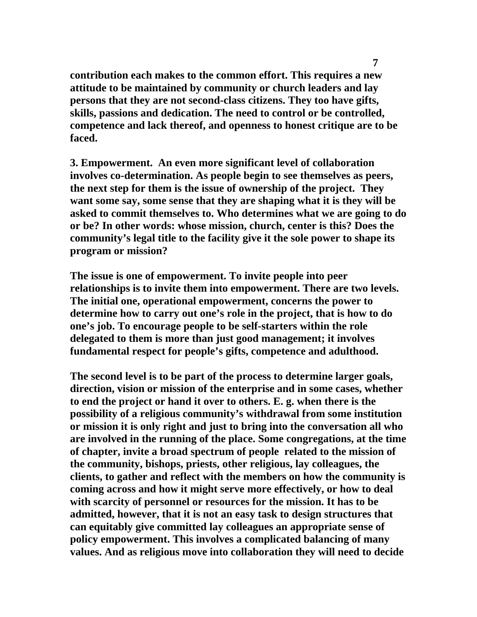**contribution each makes to the common effort. This requires a new attitude to be maintained by community or church leaders and lay persons that they are not second-class citizens. They too have gifts, skills, passions and dedication. The need to control or be controlled, competence and lack thereof, and openness to honest critique are to be faced.** 

**3. Empowerment. An even more significant level of collaboration involves co-determination. As people begin to see themselves as peers, the next step for them is the issue of ownership of the project. They want some say, some sense that they are shaping what it is they will be asked to commit themselves to. Who determines what we are going to do or be? In other words: whose mission, church, center is this? Does the community's legal title to the facility give it the sole power to shape its program or mission?** 

**The issue is one of empowerment. To invite people into peer relationships is to invite them into empowerment. There are two levels. The initial one, operational empowerment, concerns the power to determine how to carry out one's role in the project, that is how to do one's job. To encourage people to be self-starters within the role delegated to them is more than just good management; it involves fundamental respect for people's gifts, competence and adulthood.** 

**The second level is to be part of the process to determine larger goals, direction, vision or mission of the enterprise and in some cases, whether to end the project or hand it over to others. E. g. when there is the possibility of a religious community's withdrawal from some institution or mission it is only right and just to bring into the conversation all who are involved in the running of the place. Some congregations, at the time of chapter, invite a broad spectrum of people related to the mission of the community, bishops, priests, other religious, lay colleagues, the clients, to gather and reflect with the members on how the community is coming across and how it might serve more effectively, or how to deal with scarcity of personnel or resources for the mission. It has to be admitted, however, that it is not an easy task to design structures that can equitably give committed lay colleagues an appropriate sense of policy empowerment. This involves a complicated balancing of many values. And as religious move into collaboration they will need to decide**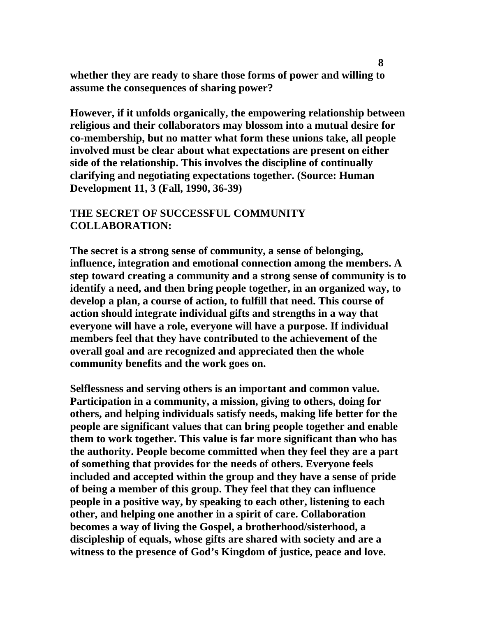**whether they are ready to share those forms of power and willing to assume the consequences of sharing power?** 

**However, if it unfolds organically, the empowering relationship between religious and their collaborators may blossom into a mutual desire for co-membership, but no matter what form these unions take, all people involved must be clear about what expectations are present on either side of the relationship. This involves the discipline of continually clarifying and negotiating expectations together. (Source: Human Development 11, 3 (Fall, 1990, 36-39)** 

## **THE SECRET OF SUCCESSFUL COMMUNITY COLLABORATION:**

**The secret is a strong sense of community, a sense of belonging, influence, integration and emotional connection among the members. A step toward creating a community and a strong sense of community is to identify a need, and then bring people together, in an organized way, to develop a plan, a course of action, to fulfill that need. This course of action should integrate individual gifts and strengths in a way that everyone will have a role, everyone will have a purpose. If individual members feel that they have contributed to the achievement of the overall goal and are recognized and appreciated then the whole community benefits and the work goes on.** 

**Selflessness and serving others is an important and common value. Participation in a community, a mission, giving to others, doing for others, and helping individuals satisfy needs, making life better for the people are significant values that can bring people together and enable them to work together. This value is far more significant than who has the authority. People become committed when they feel they are a part of something that provides for the needs of others. Everyone feels included and accepted within the group and they have a sense of pride of being a member of this group. They feel that they can influence people in a positive way, by speaking to each other, listening to each other, and helping one another in a spirit of care. Collaboration becomes a way of living the Gospel, a brotherhood/sisterhood, a discipleship of equals, whose gifts are shared with society and are a witness to the presence of God's Kingdom of justice, peace and love.**